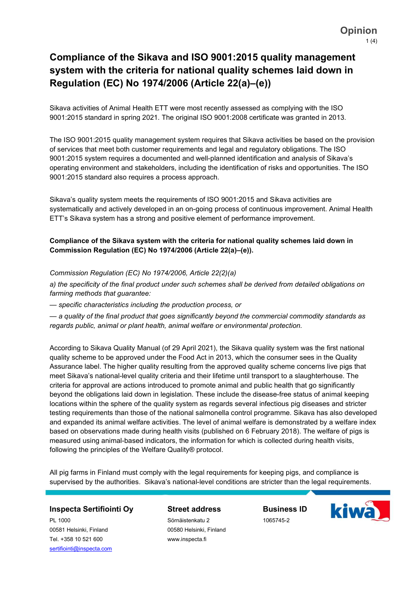# Compliance of the Sikava and ISO 9001:2015 quality management system with the criteria for national quality schemes laid down in Regulation (EC) No 1974/2006 (Article 22(a)–(e))

Sikava activities of Animal Health ETT were most recently assessed as complying with the ISO 9001:2015 standard in spring 2021. The original ISO 9001:2008 certificate was granted in 2013.

The ISO 9001:2015 quality management system requires that Sikava activities be based on the provision of services that meet both customer requirements and legal and regulatory obligations. The ISO 9001:2015 system requires a documented and well-planned identification and analysis of Sikava's operating environment and stakeholders, including the identification of risks and opportunities. The ISO 9001:2015 standard also requires a process approach.

Sikava's quality system meets the requirements of ISO 9001:2015 and Sikava activities are systematically and actively developed in an on-going process of continuous improvement. Animal Health ETT's Sikava system has a strong and positive element of performance improvement.

### Compliance of the Sikava system with the criteria for national quality schemes laid down in Commission Regulation (EC) No 1974/2006 (Article 22(a)–(e)).

Commission Regulation (EC) No 1974/2006, Article 22(2)(a)

a) the specificity of the final product under such schemes shall be derived from detailed obligations on farming methods that guarantee:

— specific characteristics including the production process, or

— a quality of the final product that goes significantly beyond the commercial commodity standards as regards public, animal or plant health, animal welfare or environmental protection.

According to Sikava Quality Manual (of 29 April 2021), the Sikava quality system was the first national quality scheme to be approved under the Food Act in 2013, which the consumer sees in the Quality Assurance label. The higher quality resulting from the approved quality scheme concerns live pigs that meet Sikava's national-level quality criteria and their lifetime until transport to a slaughterhouse. The criteria for approval are actions introduced to promote animal and public health that go significantly beyond the obligations laid down in legislation. These include the disease-free status of animal keeping locations within the sphere of the quality system as regards several infectious pig diseases and stricter testing requirements than those of the national salmonella control programme. Sikava has also developed and expanded its animal welfare activities. The level of animal welfare is demonstrated by a welfare index based on observations made during health visits (published on 6 February 2018). The welfare of pigs is measured using animal-based indicators, the information for which is collected during health visits, following the principles of the Welfare Quality® protocol.

All pig farms in Finland must comply with the legal requirements for keeping pigs, and compliance is supervised by the authorities. Sikava's national-level conditions are stricter than the legal requirements.

#### Inspecta Sertifiointi Oy

PL 1000 00581 Helsinki, Finland Tel. +358 10 521 600 sertifiointi@inspecta.com

#### Street address

Sörnäistenkatu 2 00580 Helsinki, Finland www.inspecta.fi

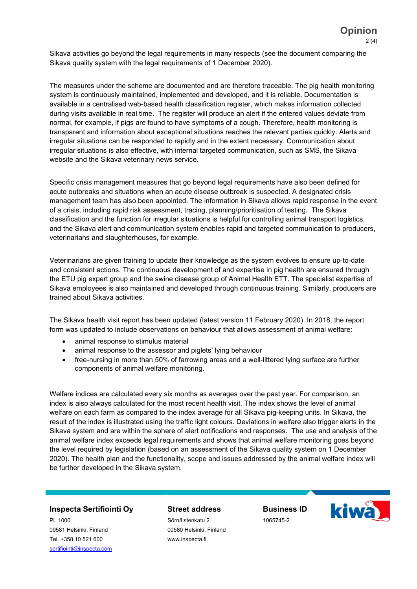Sikava activities go beyond the legal requirements in many respects (see the document comparing the Sikava quality system with the legal requirements of 1 December 2020).

The measures under the scheme are documented and are therefore traceable. The pig health monitoring system is continuously maintained, implemented and developed, and it is reliable. Documentation is available in a centralised web-based health classification register, which makes information collected during visits available in real time. The register will produce an alert if the entered values deviate from normal, for example, if pigs are found to have symptoms of a cough. Therefore, health monitoring is transparent and information about exceptional situations reaches the relevant parties quickly. Alerts and irregular situations can be responded to rapidly and in the extent necessary. Communication about irregular situations is also effective, with internal targeted communication, such as SMS, the Sikava website and the Sikava veterinary news service.

Specific crisis management measures that go beyond legal requirements have also been defined for acute outbreaks and situations when an acute disease outbreak is suspected. A designated crisis management team has also been appointed. The information in Sikava allows rapid response in the event of a crisis, including rapid risk assessment, tracing, planning/prioritisation of testing. The Sikava classification and the function for irregular situations is helpful for controlling animal transport logistics, and the Sikava alert and communication system enables rapid and targeted communication to producers, veterinarians and slaughterhouses, for example.

Veterinarians are given training to update their knowledge as the system evolves to ensure up-to-date and consistent actions. The continuous development of and expertise in pig health are ensured through the ETU pig expert group and the swine disease group of Animal Health ETT. The specialist expertise of Sikava employees is also maintained and developed through continuous training. Similarly, producers are trained about Sikava activities.

The Sikava health visit report has been updated (latest version 11 February 2020). In 2018, the report form was updated to include observations on behaviour that allows assessment of animal welfare:

- animal response to stimulus material
- animal response to the assessor and piglets' lying behaviour
- free-nursing in more than 50% of farrowing areas and a well-littered lying surface are further components of animal welfare monitoring.

Welfare indices are calculated every six months as averages over the past year. For comparison, an index is also always calculated for the most recent health visit. The index shows the level of animal welfare on each farm as compared to the index average for all Sikava pig-keeping units. In Sikava, the result of the index is illustrated using the traffic light colours. Deviations in welfare also trigger alerts in the Sikava system and are within the sphere of alert notifications and responses. The use and analysis of the animal welfare index exceeds legal requirements and shows that animal welfare monitoring goes beyond the level required by legislation (based on an assessment of the Sikava quality system on 1 December 2020). The health plan and the functionality, scope and issues addressed by the animal welfare index will be further developed in the Sikava system.

#### Inspecta Sertifiointi Oy

PL 1000 00581 Helsinki, Finland Tel. +358 10 521 600 sertifiointi@inspecta.com

## Street address

Sörnäistenkatu 2 00580 Helsinki, Finland www.inspecta.fi

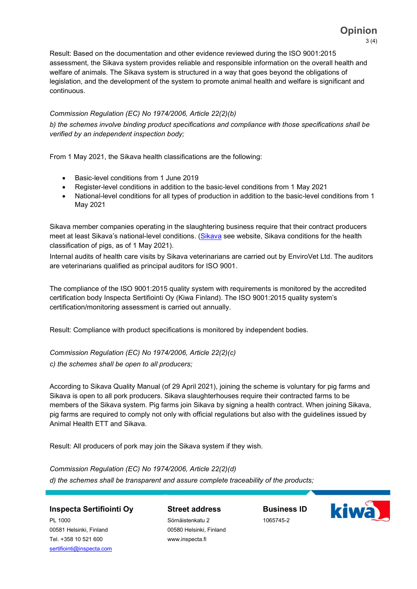Result: Based on the documentation and other evidence reviewed during the ISO 9001:2015 assessment, the Sikava system provides reliable and responsible information on the overall health and welfare of animals. The Sikava system is structured in a way that goes beyond the obligations of legislation, and the development of the system to promote animal health and welfare is significant and continuous.

## Commission Regulation (EC) No 1974/2006, Article 22(2)(b)

b) the schemes involve binding product specifications and compliance with those specifications shall be verified by an independent inspection body;

From 1 May 2021, the Sikava health classifications are the following:

- Basic-level conditions from 1 June 2019
- Register-level conditions in addition to the basic-level conditions from 1 May 2021
- National-level conditions for all types of production in addition to the basic-level conditions from 1 May 2021

Sikava member companies operating in the slaughtering business require that their contract producers meet at least Sikava's national-level conditions. (Sikava see website, Sikava conditions for the health classification of pigs, as of 1 May 2021).

Internal audits of health care visits by Sikava veterinarians are carried out by EnviroVet Ltd. The auditors are veterinarians qualified as principal auditors for ISO 9001.

The compliance of the ISO 9001:2015 quality system with requirements is monitored by the accredited certification body Inspecta Sertifiointi Oy (Kiwa Finland). The ISO 9001:2015 quality system's certification/monitoring assessment is carried out annually.

Result: Compliance with product specifications is monitored by independent bodies.

Commission Regulation (EC) No 1974/2006, Article 22(2)(c) c) the schemes shall be open to all producers;

According to Sikava Quality Manual (of 29 April 2021), joining the scheme is voluntary for pig farms and Sikava is open to all pork producers. Sikava slaughterhouses require their contracted farms to be members of the Sikava system. Pig farms join Sikava by signing a health contract. When joining Sikava, pig farms are required to comply not only with official regulations but also with the guidelines issued by

Animal Health ETT and Sikava.

Result: All producers of pork may join the Sikava system if they wish.

Commission Regulation (EC) No 1974/2006, Article 22(2)(d) d) the schemes shall be transparent and assure complete traceability of the products;

## Inspecta Sertifiointi Oy

Street address

PL 1000 00581 Helsinki, Finland Tel. +358 10 521 600 sertifiointi@inspecta.com Sörnäistenkatu 2 00580 Helsinki, Finland www.inspecta.fi